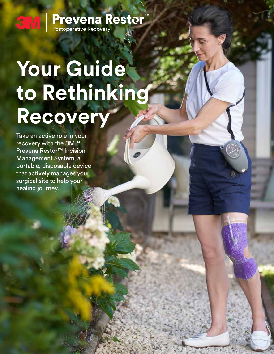### **Prevena Restor**<sup>"</sup><br>Postoperative Recovery SM.

# **Your Guide to Rethinking Recovery**

Take an active role in your recovery with the 3M™ Prevena Restor™ Incision Management System, a portable, disposable device that actively manages your surgical site to help your healing journey.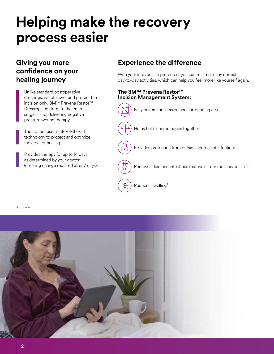### **Helping make the recovery process easier**

### **confidence on your healing journey**

Unlike standard postoperative dressings, which cover and protect the incision only, 3M™ Prevena Restor™ Dressings conform to the entire surgical site, delivering negative pressure wound therapy.

The system uses state-of-the-art technology to protect and optimize the area for healing.

Provides therapy for up to 14 days, as determined by your doctor (dressing change required after 7 days).

#### **Giving you more Experience the difference**

With your incision site protected, you can resume many normal day-to-day activities, which can help you feel more like yourself again.

#### **The 3M™ Prevena Restor™ Incision Management System:**



\*In a canister.

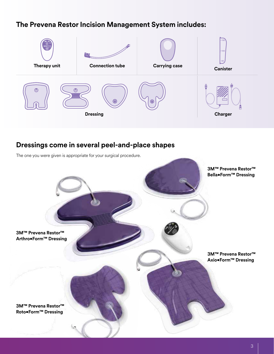#### **The Prevena Restor Incision Management System includes:**



#### **Dressings come in several peel-and-place shapes**

The one you were given is appropriate for your surgical procedure.

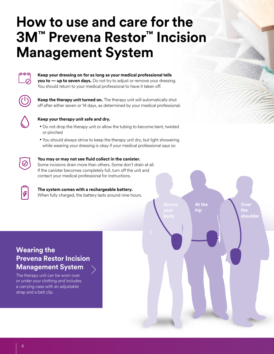### **How to use and care for the 3M™ Prevena Restor™ Incision Management System**



**Keep your dressing on for as long as your medical professional tells you to — up to seven days.** Do not try to adjust or remove your dressing. You should return to your medical professional to have it taken off.



**Keep the therapy unit turned on.** The therapy unit will automatically shut off after either seven or 14 days, as determined by your medical professional.



#### **Keep your therapy unit safe and dry.**

- Do not drop the therapy unit or allow the tubing to become bent, twisted or pinched
- You should always strive to keep the therapy unit dry, but light showering while wearing your dressing is okay if your medical professional says so



#### **You may or may not see fluid collect in the canister.**

Some incisions drain more than others. Some don't drain at all. If the canister becomes completely full, turn off the unit and contact your medical professional for instructions.

#### **The system comes with a rechargeable battery.**

When fully charged, the battery lasts around nine hours.



The therapy unit can be worn over or under your clothing and includes a carrying case with an adjustable strap and a belt clip.

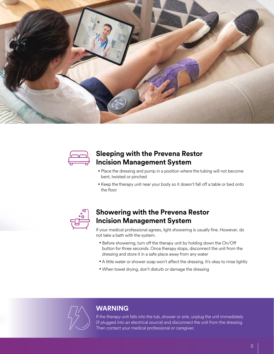



#### **Sleeping with the Prevena Restor Incision Management System**

- Place the dressing and pump in a position where the tubing will not become bent, twisted or pinched
- Keep the therapy unit near your body so it doesn't fall off a table or bed onto the floor



#### **Showering with the Prevena Restor Incision Management System**

If your medical professional agrees, light showering is usually fine. However, do not take a bath with the system.

- Before showering, turn off the therapy unit by holding down the On/Off button for three seconds. Once therapy stops, disconnect the unit from the dressing and store it in a safe place away from any water
- A little water or shower soap won't affect the dressing. It's okay to rinse lightly
- When towel drying, don't disturb or damage the dressing



#### **WARNING**

If the therapy unit falls into the tub, shower or sink, unplug the unit immediately (if plugged into an electrical source) and disconnect the unit from the dressing. Then contact your medical professional or caregiver.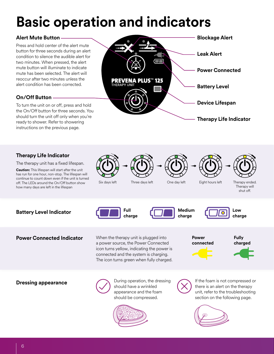## **Basic operation and indicators**

#### **Alert Mute Button**

Press and hold center of the alert mute button for three seconds during an alert condition to silence the audible alert for two minutes. When pressed, the alert mute button will illuminate to indicate mute has been selected. The alert will reoccur after two minutes unless the alert condition has been corrected.

#### **On/Off Button**

To turn the unit on or off, press and hold the On/Off button for three seconds. You should turn the unit off only when you're ready to shower. Refer to showering instructions on the previous page.



#### **Therapy Life Indicator**

The therapy unit has a fixed lifespan.

**Caution:** This lifespan will start after the unit has run for one hour, non-stop. The lifespan will continue to count down even if the unit is turned off. The LEDs around the On/Off button show how many days are left in the lifespan









Therapy will shut off.

**Battery Level Indicator Full**  Full

**Power Connected Indicator** When the therapy unit is plugged into a power source, the Power Connected icon turns yellow, indicating the power is connected and the system is charging. The icon turns green when fully charged.

**charge**

**Medium charge**



**charge**

**Power connected**



**Dressing appearance**



During operation, the dressing should have a wrinkled appearance and the foam should be compressed.





If the foam is not compressed or there is an alert on the therapy unit, refer to the troubleshooting section on the following page.

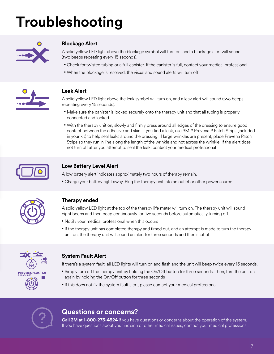# **Troubleshooting**



#### **Blockage Alert**

A solid yellow LED light above the blockage symbol will turn on, and a blockage alert will sound (two beeps repeating every 15 seconds).

- Check for twisted tubing or a full canister. If the canister is full, contact your medical professional
- When the blockage is resolved, the visual and sound alerts will turn off



#### **Leak Alert**

A solid yellow LED light above the leak symbol will turn on, and a leak alert will sound (two beeps repeating every 15 seconds).

- Make sure the canister is locked securely onto the therapy unit and that all tubing is properly connected and locked
- With the therapy unit on, slowly and firmly press around all edges of the dressing to ensure good contact between the adhesive and skin. If you find a leak, use 3M™ Prevena™ Patch Strips (included in your kit) to help seal leaks around the dressing. If large wrinkles are present, place Prevena Patch Strips so they run in line along the length of the wrinkle and not across the wrinkle. If the alert does not turn off after you attempt to seal the leak, contact your medical professional



#### **Low Battery Level Alert**

A low battery alert indicates approximately two hours of therapy remain.

• Charge your battery right away. Plug the therapy unit into an outlet or other power source



#### **Therapy ended**

A solid yellow LED light at the top of the therapy life meter will turn on. The therapy unit will sound eight beeps and then beep continuously for five seconds before automatically turning off.

- Notify your medical professional when this occurs
- If the therapy unit has completed therapy and timed out, and an attempt is made to turn the therapy unit on, the therapy unit will sound an alert for three seconds and then shut off



#### **System Fault Alert**

If there's a system fault, all LED lights will turn on and flash and the unit will beep twice every 15 seconds.

- Simply turn off the therapy unit by holding the On/Off button for three seconds. Then, turn the unit on again by holding the On/Off button for three seconds
- If this does not fix the system fault alert, please contact your medical professional



#### **Questions or concerns?**

**Call 3M at 1-800-275-4524** if you have questions or concerns about the operation of the system. If you have questions about your incision or other medical issues, contact your medical professional.